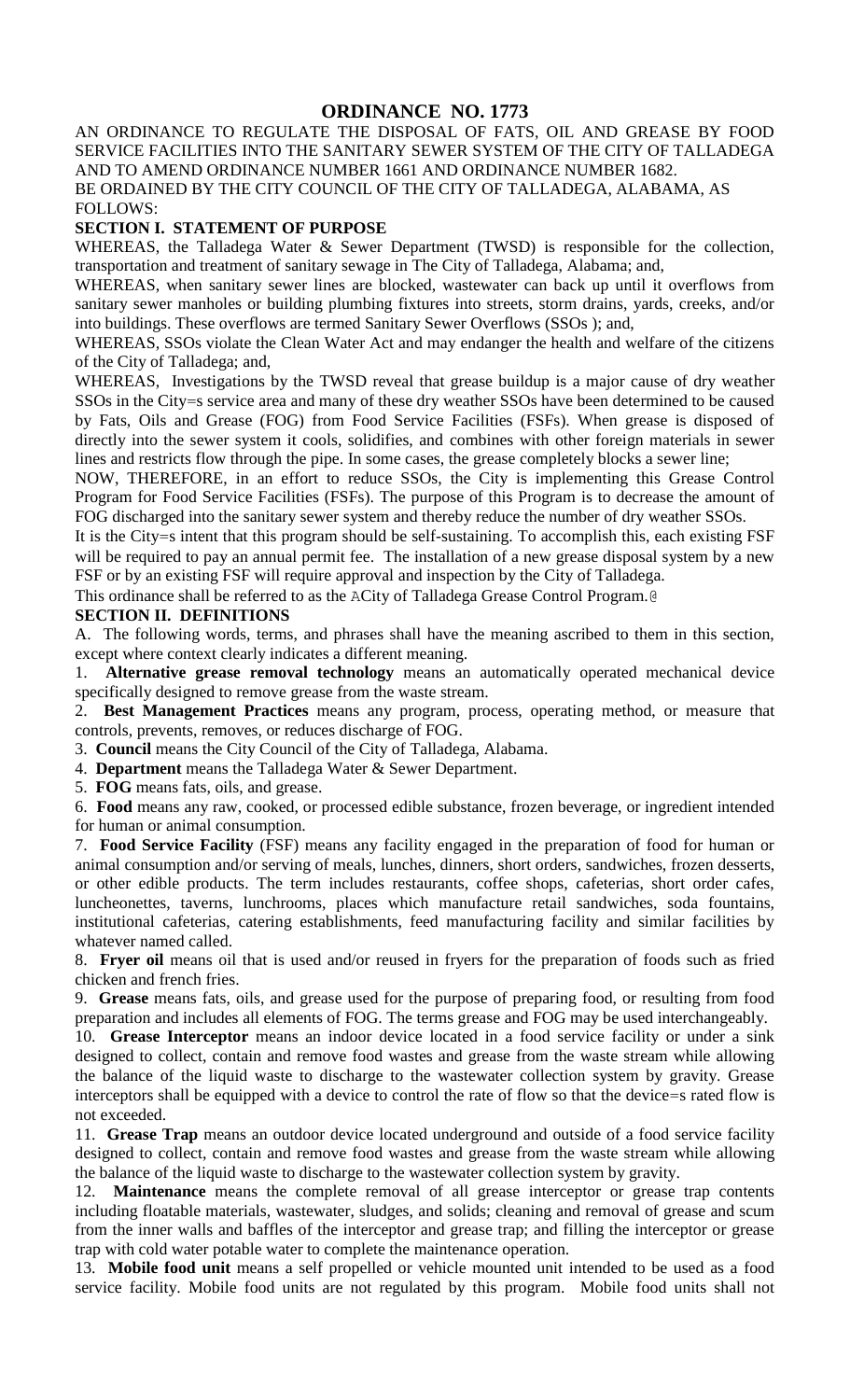# **ORDINANCE NO. 1773**

AN ORDINANCE TO REGULATE THE DISPOSAL OF FATS, OIL AND GREASE BY FOOD SERVICE FACILITIES INTO THE SANITARY SEWER SYSTEM OF THE CITY OF TALLADEGA AND TO AMEND ORDINANCE NUMBER 1661 AND ORDINANCE NUMBER 1682. BE ORDAINED BY THE CITY COUNCIL OF THE CITY OF TALLADEGA, ALABAMA, AS FOLLOWS:

#### **SECTION I. STATEMENT OF PURPOSE**

WHEREAS, the Talladega Water & Sewer Department (TWSD) is responsible for the collection, transportation and treatment of sanitary sewage in The City of Talladega, Alabama; and,

WHEREAS, when sanitary sewer lines are blocked, wastewater can back up until it overflows from sanitary sewer manholes or building plumbing fixtures into streets, storm drains, yards, creeks, and/or into buildings. These overflows are termed Sanitary Sewer Overflows (SSOs ); and,

WHEREAS, SSOs violate the Clean Water Act and may endanger the health and welfare of the citizens of the City of Talladega; and,

WHEREAS, Investigations by the TWSD reveal that grease buildup is a major cause of dry weather SSOs in the City=s service area and many of these dry weather SSOs have been determined to be caused by Fats, Oils and Grease (FOG) from Food Service Facilities (FSFs). When grease is disposed of directly into the sewer system it cools, solidifies, and combines with other foreign materials in sewer lines and restricts flow through the pipe. In some cases, the grease completely blocks a sewer line;

NOW, THEREFORE, in an effort to reduce SSOs, the City is implementing this Grease Control Program for Food Service Facilities (FSFs). The purpose of this Program is to decrease the amount of FOG discharged into the sanitary sewer system and thereby reduce the number of dry weather SSOs.

It is the City=s intent that this program should be self-sustaining. To accomplish this, each existing FSF will be required to pay an annual permit fee. The installation of a new grease disposal system by a new FSF or by an existing FSF will require approval and inspection by the City of Talladega.

This ordinance shall be referred to as the ACity of Talladega Grease Control Program.@

# **SECTION II. DEFINITIONS**

A. The following words, terms, and phrases shall have the meaning ascribed to them in this section, except where context clearly indicates a different meaning.

1. **Alternative grease removal technology** means an automatically operated mechanical device specifically designed to remove grease from the waste stream.

2. **Best Management Practices** means any program, process, operating method, or measure that controls, prevents, removes, or reduces discharge of FOG.

3. **Council** means the City Council of the City of Talladega, Alabama.

4. **Department** means the Talladega Water & Sewer Department.

5. **FOG** means fats, oils, and grease.

6. **Food** means any raw, cooked, or processed edible substance, frozen beverage, or ingredient intended for human or animal consumption.

7. **Food Service Facility** (FSF) means any facility engaged in the preparation of food for human or animal consumption and/or serving of meals, lunches, dinners, short orders, sandwiches, frozen desserts, or other edible products. The term includes restaurants, coffee shops, cafeterias, short order cafes, luncheonettes, taverns, lunchrooms, places which manufacture retail sandwiches, soda fountains, institutional cafeterias, catering establishments, feed manufacturing facility and similar facilities by whatever named called.

8. **Fryer oil** means oil that is used and/or reused in fryers for the preparation of foods such as fried chicken and french fries.

9. **Grease** means fats, oils, and grease used for the purpose of preparing food, or resulting from food preparation and includes all elements of FOG. The terms grease and FOG may be used interchangeably.

10. **Grease Interceptor** means an indoor device located in a food service facility or under a sink designed to collect, contain and remove food wastes and grease from the waste stream while allowing the balance of the liquid waste to discharge to the wastewater collection system by gravity. Grease interceptors shall be equipped with a device to control the rate of flow so that the device=s rated flow is not exceeded.

11. **Grease Trap** means an outdoor device located underground and outside of a food service facility designed to collect, contain and remove food wastes and grease from the waste stream while allowing the balance of the liquid waste to discharge to the wastewater collection system by gravity.

12. **Maintenance** means the complete removal of all grease interceptor or grease trap contents including floatable materials, wastewater, sludges, and solids; cleaning and removal of grease and scum from the inner walls and baffles of the interceptor and grease trap; and filling the interceptor or grease trap with cold water potable water to complete the maintenance operation.

13. **Mobile food unit** means a self propelled or vehicle mounted unit intended to be used as a food service facility. Mobile food units are not regulated by this program. Mobile food units shall not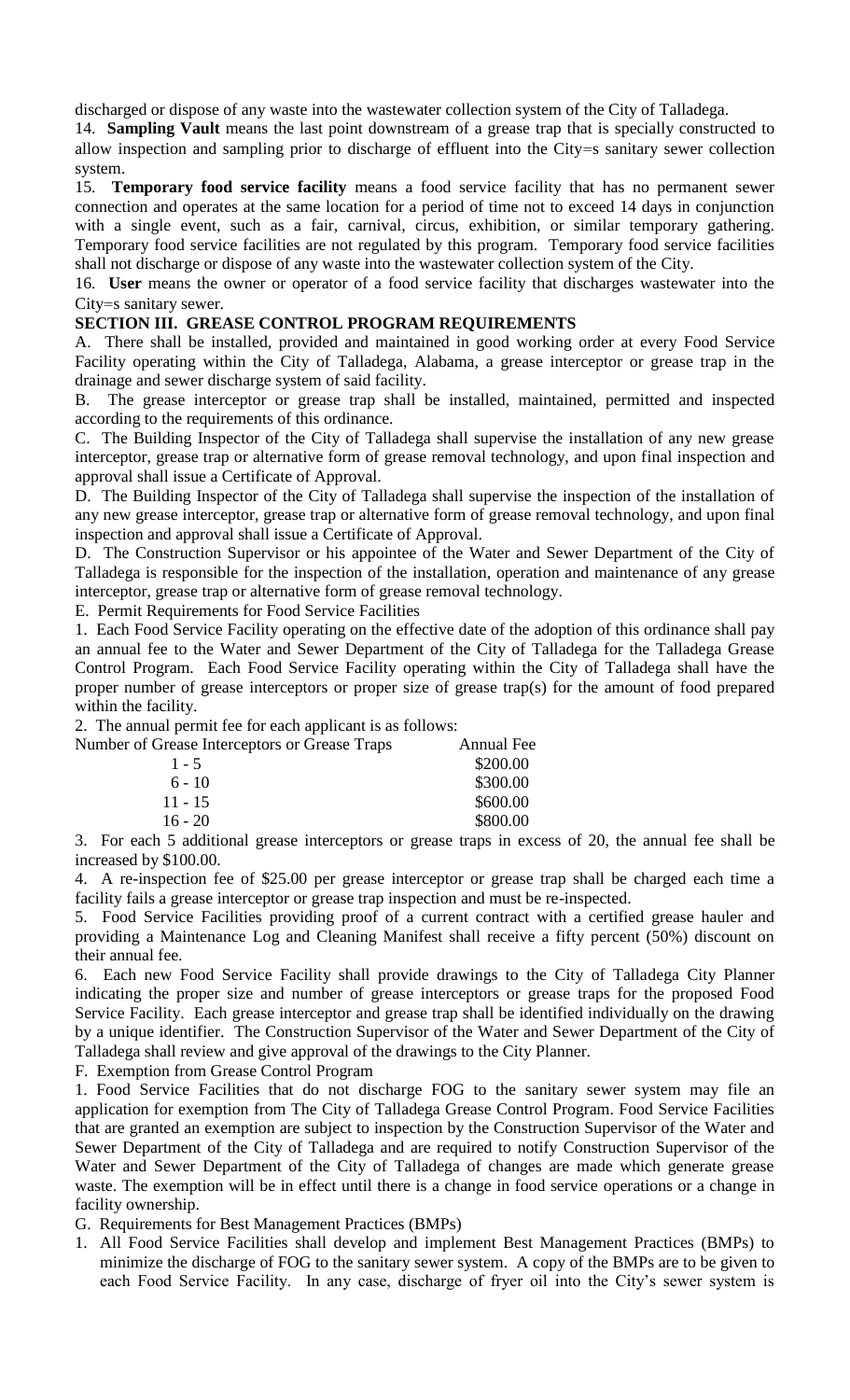discharged or dispose of any waste into the wastewater collection system of the City of Talladega.

14. **Sampling Vault** means the last point downstream of a grease trap that is specially constructed to allow inspection and sampling prior to discharge of effluent into the City=s sanitary sewer collection system.

15. **Temporary food service facility** means a food service facility that has no permanent sewer connection and operates at the same location for a period of time not to exceed 14 days in conjunction with a single event, such as a fair, carnival, circus, exhibition, or similar temporary gathering. Temporary food service facilities are not regulated by this program. Temporary food service facilities shall not discharge or dispose of any waste into the wastewater collection system of the City.

16. **User** means the owner or operator of a food service facility that discharges wastewater into the City=s sanitary sewer.

## **SECTION III. GREASE CONTROL PROGRAM REQUIREMENTS**

A. There shall be installed, provided and maintained in good working order at every Food Service Facility operating within the City of Talladega, Alabama, a grease interceptor or grease trap in the drainage and sewer discharge system of said facility.

B. The grease interceptor or grease trap shall be installed, maintained, permitted and inspected according to the requirements of this ordinance.

C. The Building Inspector of the City of Talladega shall supervise the installation of any new grease interceptor, grease trap or alternative form of grease removal technology, and upon final inspection and approval shall issue a Certificate of Approval.

D. The Building Inspector of the City of Talladega shall supervise the inspection of the installation of any new grease interceptor, grease trap or alternative form of grease removal technology, and upon final inspection and approval shall issue a Certificate of Approval.

D. The Construction Supervisor or his appointee of the Water and Sewer Department of the City of Talladega is responsible for the inspection of the installation, operation and maintenance of any grease interceptor, grease trap or alternative form of grease removal technology.

E. Permit Requirements for Food Service Facilities

1. Each Food Service Facility operating on the effective date of the adoption of this ordinance shall pay an annual fee to the Water and Sewer Department of the City of Talladega for the Talladega Grease Control Program. Each Food Service Facility operating within the City of Talladega shall have the proper number of grease interceptors or proper size of grease trap(s) for the amount of food prepared within the facility.

2. The annual permit fee for each applicant is as follows:

| Number of Grease Interceptors or Grease Traps | Annual Fee |
|-----------------------------------------------|------------|
| $1 - 5$                                       | \$200.00   |
| $6 - 10$                                      | \$300.00   |
| $11 - 15$                                     | \$600.00   |
| $16 - 20$                                     | \$800.00   |

3. For each 5 additional grease interceptors or grease traps in excess of 20, the annual fee shall be increased by \$100.00.

4. A re-inspection fee of \$25.00 per grease interceptor or grease trap shall be charged each time a facility fails a grease interceptor or grease trap inspection and must be re-inspected.

5. Food Service Facilities providing proof of a current contract with a certified grease hauler and providing a Maintenance Log and Cleaning Manifest shall receive a fifty percent (50%) discount on their annual fee.

6. Each new Food Service Facility shall provide drawings to the City of Talladega City Planner indicating the proper size and number of grease interceptors or grease traps for the proposed Food Service Facility. Each grease interceptor and grease trap shall be identified individually on the drawing by a unique identifier. The Construction Supervisor of the Water and Sewer Department of the City of Talladega shall review and give approval of the drawings to the City Planner.

F. Exemption from Grease Control Program

1. Food Service Facilities that do not discharge FOG to the sanitary sewer system may file an application for exemption from The City of Talladega Grease Control Program. Food Service Facilities that are granted an exemption are subject to inspection by the Construction Supervisor of the Water and Sewer Department of the City of Talladega and are required to notify Construction Supervisor of the Water and Sewer Department of the City of Talladega of changes are made which generate grease waste. The exemption will be in effect until there is a change in food service operations or a change in facility ownership.

G. Requirements for Best Management Practices (BMPs)

1. All Food Service Facilities shall develop and implement Best Management Practices (BMPs) to minimize the discharge of FOG to the sanitary sewer system. A copy of the BMPs are to be given to each Food Service Facility. In any case, discharge of fryer oil into the City's sewer system is